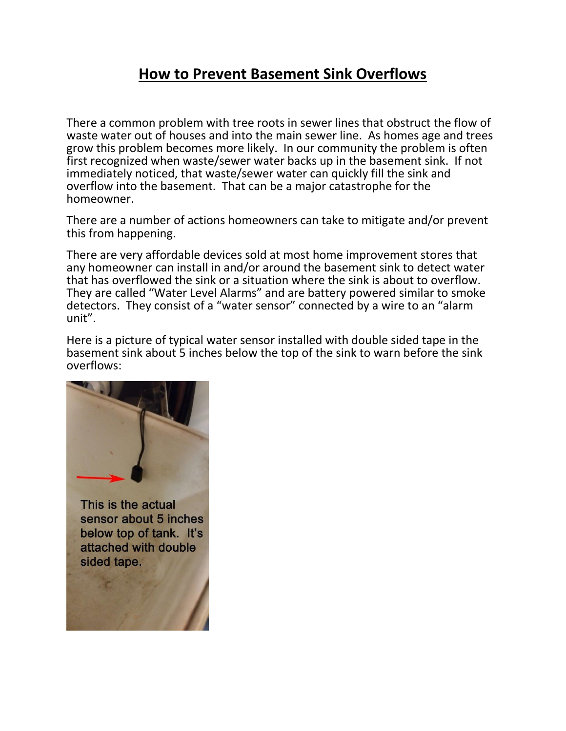## **How to Prevent Basement Sink Overflows**

There a common problem with tree roots in sewer lines that obstruct the flow of waste water out of houses and into the main sewer line. As homes age and trees grow this problem becomes more likely. In our community the problem is often first recognized when waste/sewer water backs up in the basement sink. If not immediately noticed, that waste/sewer water can quickly fill the sink and overflow into the basement. That can be a major catastrophe for the homeowner.

There are a number of actions homeowners can take to mitigate and/or prevent this from happening.

There are very affordable devices sold at most home improvement stores that any homeowner can install in and/or around the basement sink to detect water that has overflowed the sink or a situation where the sink is about to overflow. They are called "Water Level Alarms" and are battery powered similar to smoke detectors. They consist of a "water sensor" connected by a wire to an "alarm unit".

Here is a picture of typical water sensor installed with double sided tape in the basement sink about 5 inches below the top of the sink to warn before the sink overflows: